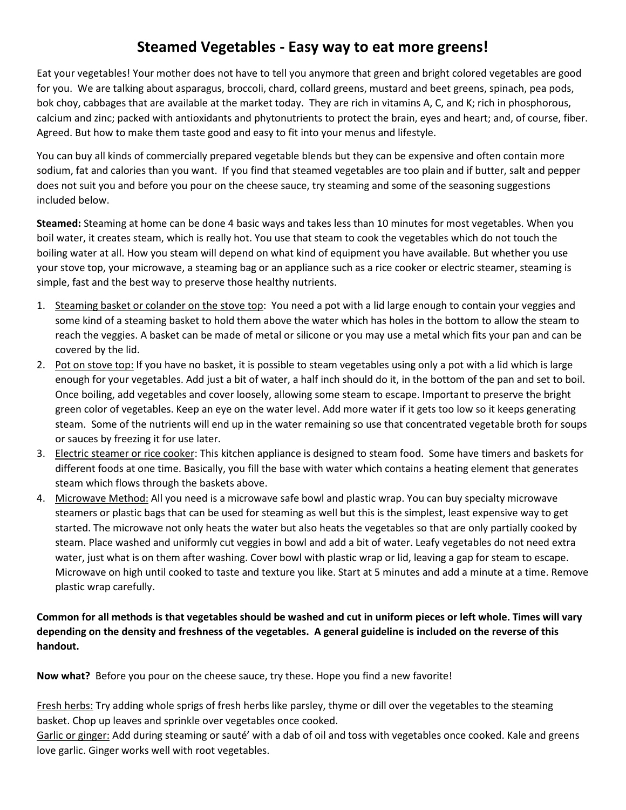## **Steamed Vegetables - Easy way to eat more greens!**

Eat your vegetables! Your mother does not have to tell you anymore that green and bright colored vegetables are good for you. We are talking about asparagus, broccoli, chard, collard greens, mustard and beet greens, spinach, pea pods, bok choy, cabbages that are available at the market today. They are rich in vitamins A, C, and K; rich in phosphorous, calcium and zinc; packed with antioxidants and phytonutrients to protect the brain, eyes and heart; and, of course, fiber. Agreed. But how to make them taste good and easy to fit into your menus and lifestyle.

You can buy all kinds of commercially prepared vegetable blends but they can be expensive and often contain more sodium, fat and calories than you want. If you find that steamed vegetables are too plain and if butter, salt and pepper does not suit you and before you pour on the cheese sauce, try steaming and some of the seasoning suggestions included below.

**Steamed:** Steaming at home can be done 4 basic ways and takes less than 10 minutes for most vegetables. When you boil water, it creates steam, which is really hot. You use that steam to cook the vegetables which do not touch the boiling water at all. How you steam will depend on what kind of equipment you have available. But whether you use your stove top, your microwave, a steaming bag or an appliance such as a rice cooker or electric steamer, steaming is simple, fast and the best way to preserve those healthy nutrients.

- 1. Steaming basket or colander on the stove top: You need a pot with a lid large enough to contain your veggies and some kind of a steaming basket to hold them above the water which has holes in the bottom to allow the steam to reach the veggies. A basket can be made of metal or silicone or you may use a metal which fits your pan and can be covered by the lid.
- 2. Pot on stove top: If you have no basket, it is possible to steam vegetables using only a pot with a lid which is large enough for your vegetables. Add just a bit of water, a half inch should do it, in the bottom of the pan and set to boil. Once boiling, add vegetables and cover loosely, allowing some steam to escape. Important to preserve the bright green color of vegetables. Keep an eye on the water level. Add more water if it gets too low so it keeps generating steam. Some of the nutrients will end up in the water remaining so use that concentrated vegetable broth for soups or sauces by freezing it for use later.
- 3. Electric steamer or rice cooker: This kitchen appliance is designed to steam food. Some have timers and baskets for different foods at one time. Basically, you fill the base with water which contains a heating element that generates steam which flows through the baskets above.
- 4. Microwave Method: All you need is a microwave safe bowl and plastic wrap. You can buy specialty microwave steamers or plastic bags that can be used for steaming as well but this is the simplest, least expensive way to get started. The microwave not only heats the water but also heats the vegetables so that are only partially cooked by steam. Place washed and uniformly cut veggies in bowl and add a bit of water. Leafy vegetables do not need extra water, just what is on them after washing. Cover bowl with plastic wrap or lid, leaving a gap for steam to escape. Microwave on high until cooked to taste and texture you like. Start at 5 minutes and add a minute at a time. Remove plastic wrap carefully.

## **Common for all methods is that vegetables should be washed and cut in uniform pieces or left whole. Times will vary depending on the density and freshness of the vegetables. A general guideline is included on the reverse of this handout.**

**Now what?** Before you pour on the cheese sauce, try these. Hope you find a new favorite!

Fresh herbs: Try adding whole sprigs of fresh herbs like parsley, thyme or dill over the vegetables to the steaming basket. Chop up leaves and sprinkle over vegetables once cooked.

Garlic or ginger: Add during steaming or sauté' with a dab of oil and toss with vegetables once cooked. Kale and greens love garlic. Ginger works well with root vegetables.